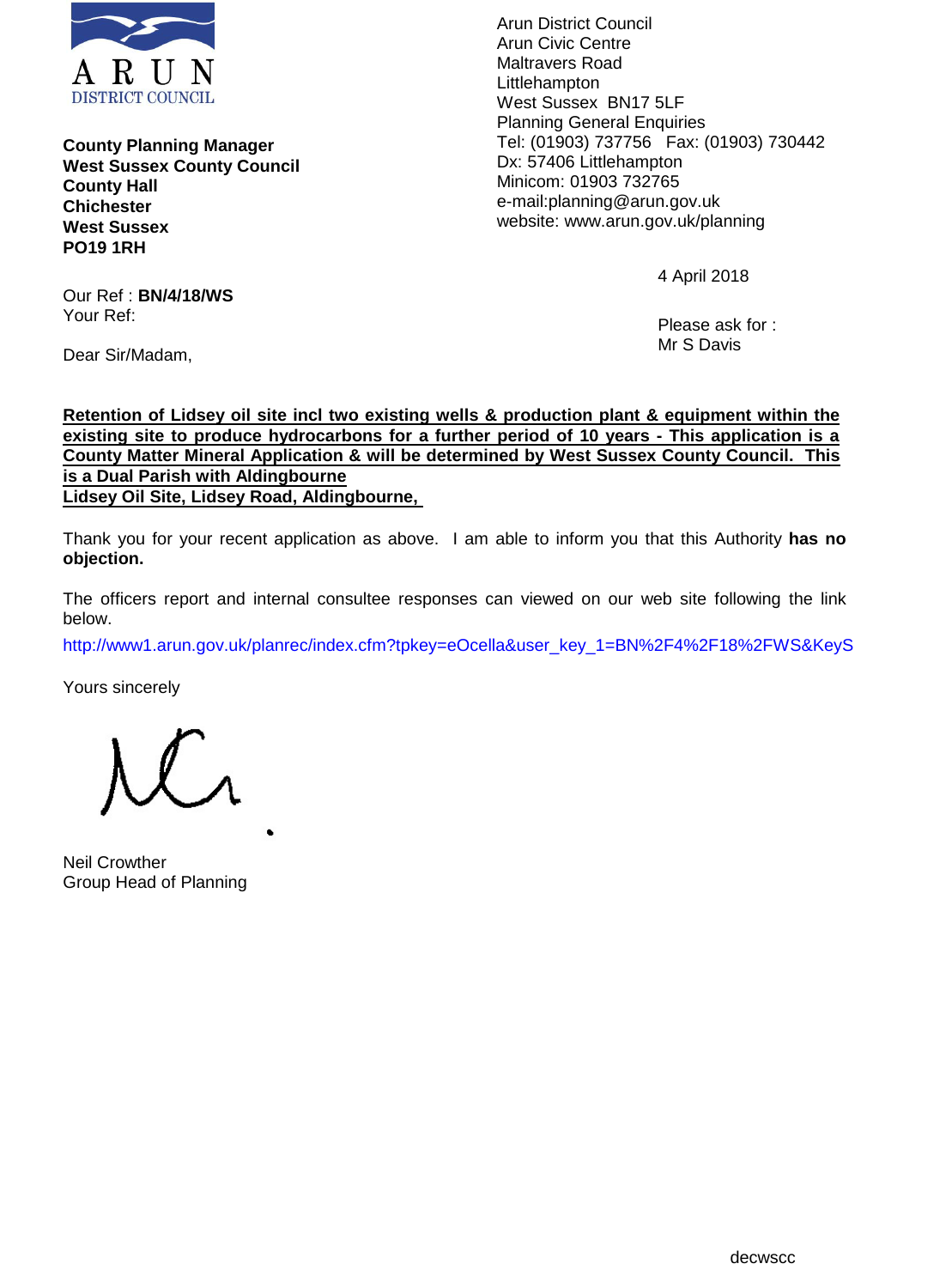

**County Planning Manager West Sussex County Council County Hall Chichester West Sussex PO19 1RH**

Our Ref : **BN/4/18/WS** Your Ref:

Dear Sir/Madam,

Arun District Council Arun Civic Centre Maltravers Road Littlehampton West Sussex BN17 5LF Planning General Enquiries Tel: (01903) 737756 Fax: (01903) 730442 Dx: 57406 Littlehampton Minicom: 01903 732765 e-mail:planning@arun.gov.uk website: www.arun.gov.uk/planning

4 April 2018

Please ask for : Mr S Davis

**Retention of Lidsey oil site incl two existing wells & production plant & equipment within the existing site to produce hydrocarbons for a further period of 10 years - This application is a County Matter Mineral Application & will be determined by West Sussex County Council. This is a Dual Parish with Aldingbourne Lidsey Oil Site, Lidsey Road, Aldingbourne,** 

Thank you for your recent application as above. I am able to inform you that this Authority **has no objection.**

The officers report and internal consultee responses can viewed on our web site following the link below.

http://www1.arun.gov.uk/planrec/index.cfm?tpkey=eOcella&user\_key\_1=BN%2F4%2F18%2FWS&KeyS

Yours sincerely

Neil Crowther Group Head of Planning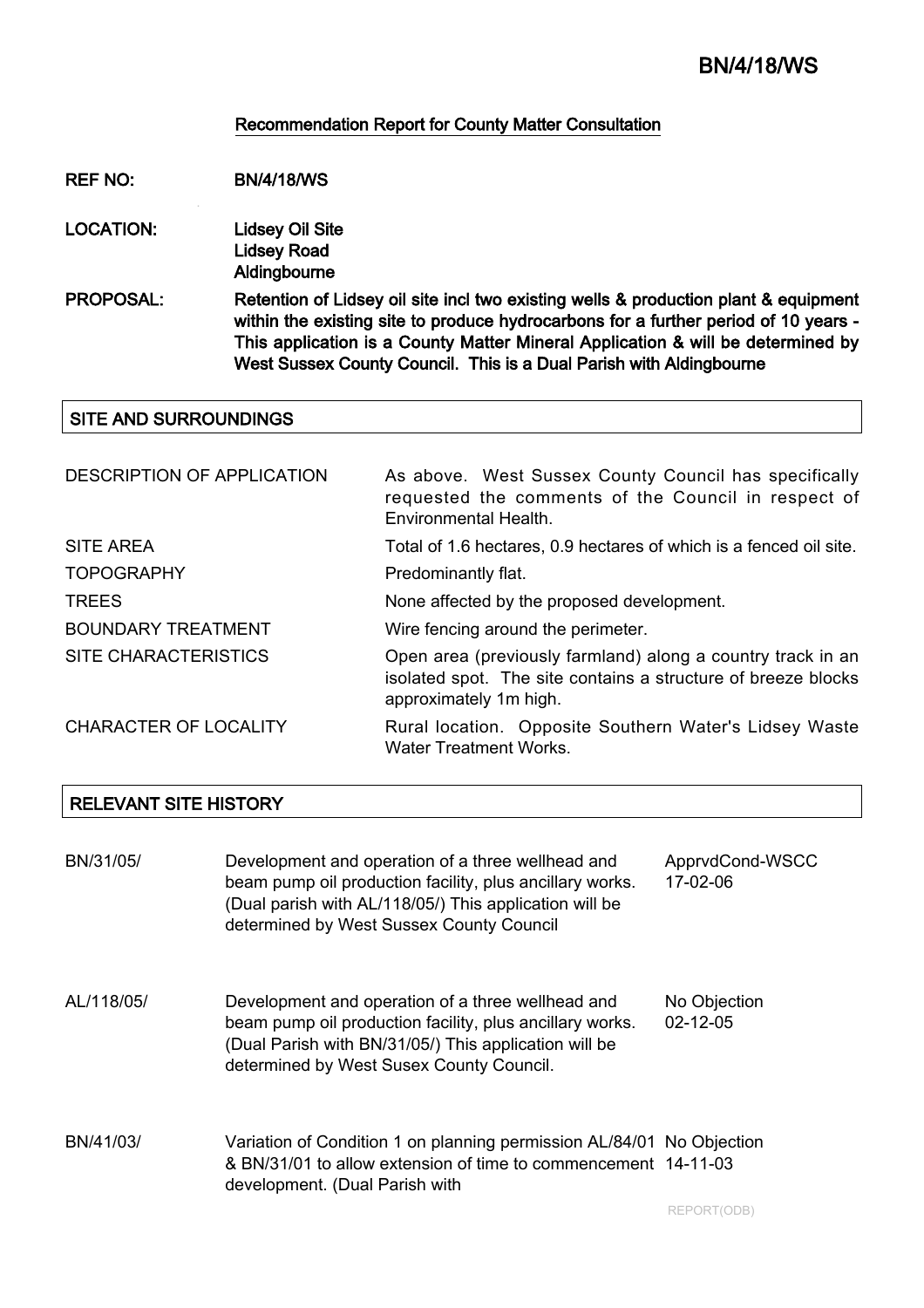#### Recommendation Report for County Matter Consultation

REF NO: BN/4/18/WS

- LOCATION: Lidsey Oil Site Lidsey Road Aldingbourne
- PROPOSAL: Retention of Lidsey oil site incl two existing wells & production plant & equipment within the existing site to produce hydrocarbons for a further period of 10 years - This application is a County Matter Mineral Application & will be determined by West Sussex County Council. This is a Dual Parish with Aldingbourne

#### SITE AND SURROUNDINGS

| DESCRIPTION OF APPLICATION   | As above. West Sussex County Council has specifically<br>requested the comments of the Council in respect of<br>Environmental Health.                  |
|------------------------------|--------------------------------------------------------------------------------------------------------------------------------------------------------|
| <b>SITE AREA</b>             | Total of 1.6 hectares, 0.9 hectares of which is a fenced oil site.                                                                                     |
| <b>TOPOGRAPHY</b>            | Predominantly flat.                                                                                                                                    |
| <b>TREES</b>                 | None affected by the proposed development.                                                                                                             |
| <b>BOUNDARY TREATMENT</b>    | Wire fencing around the perimeter.                                                                                                                     |
| <b>SITE CHARACTERISTICS</b>  | Open area (previously farmland) along a country track in an<br>isolated spot. The site contains a structure of breeze blocks<br>approximately 1m high. |
| <b>CHARACTER OF LOCALITY</b> | Rural location. Opposite Southern Water's Lidsey Waste<br><b>Water Treatment Works.</b>                                                                |

#### RELEVANT SITE HISTORY

| BN/31/05/  | Development and operation of a three wellhead and<br>beam pump oil production facility, plus ancillary works.<br>(Dual parish with AL/118/05/) This application will be<br>determined by West Sussex County Council | ApprvdCond-WSCC<br>17-02-06    |
|------------|---------------------------------------------------------------------------------------------------------------------------------------------------------------------------------------------------------------------|--------------------------------|
| AL/118/05/ | Development and operation of a three wellhead and<br>beam pump oil production facility, plus ancillary works.<br>(Dual Parish with BN/31/05/) This application will be<br>determined by West Susex County Council.  | No Objection<br>$02 - 12 - 05$ |
| BN/41/03/  | Variation of Condition 1 on planning permission AL/84/01 No Objection<br>& BN/31/01 to allow extension of time to commencement 14-11-03<br>development. (Dual Parish with                                           |                                |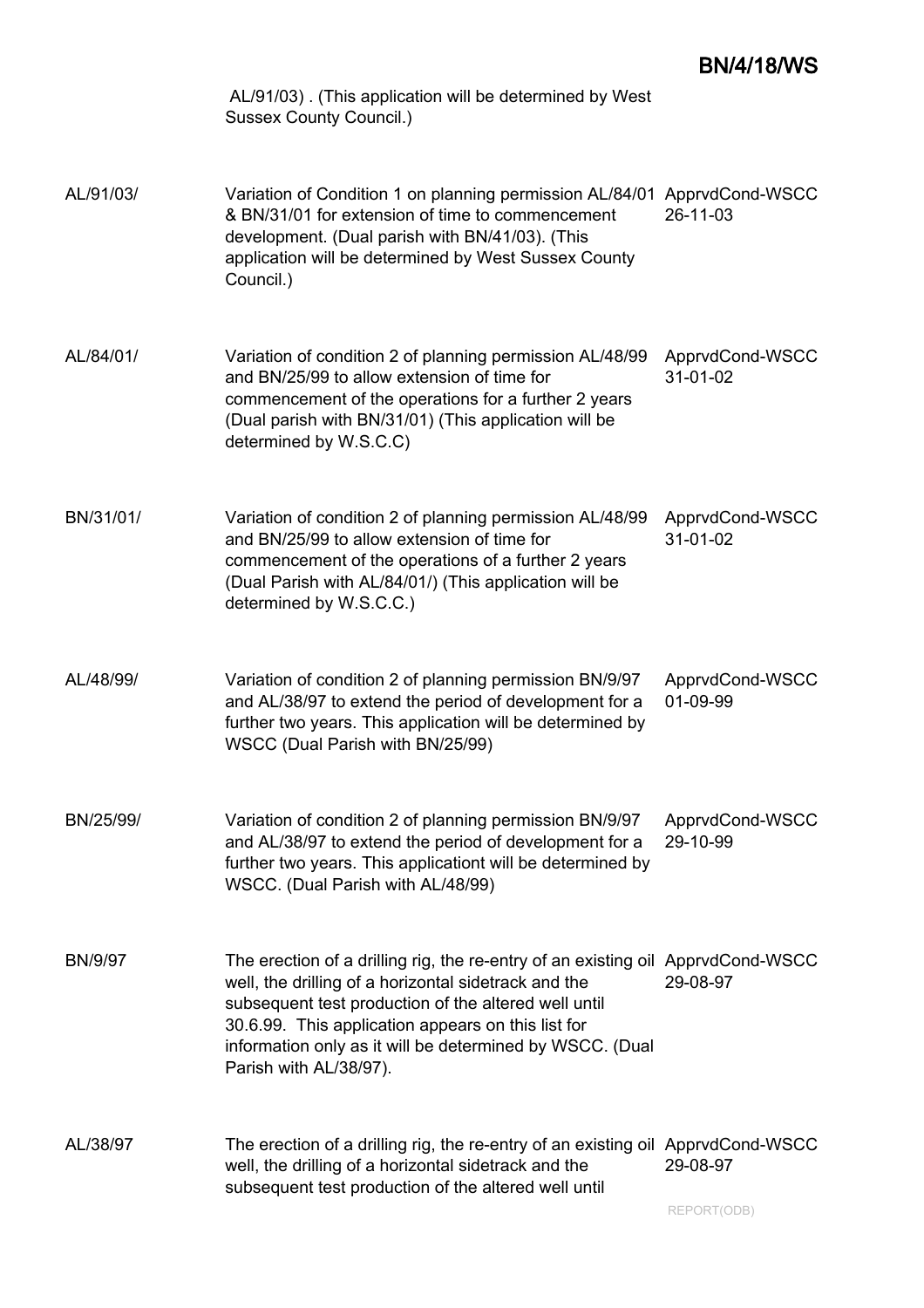|                | AL/91/03). (This application will be determined by West<br><b>Sussex County Council.)</b>                                                                                                                                                                                                                                                   |                             |
|----------------|---------------------------------------------------------------------------------------------------------------------------------------------------------------------------------------------------------------------------------------------------------------------------------------------------------------------------------------------|-----------------------------|
| AL/91/03/      | Variation of Condition 1 on planning permission AL/84/01 ApprvdCond-WSCC<br>& BN/31/01 for extension of time to commencement<br>development. (Dual parish with BN/41/03). (This<br>application will be determined by West Sussex County<br>Council.)                                                                                        | 26-11-03                    |
| AL/84/01/      | Variation of condition 2 of planning permission AL/48/99<br>and BN/25/99 to allow extension of time for<br>commencement of the operations for a further 2 years<br>(Dual parish with BN/31/01) (This application will be<br>determined by W.S.C.C)                                                                                          | ApprvdCond-WSCC<br>31-01-02 |
| BN/31/01/      | Variation of condition 2 of planning permission AL/48/99<br>and BN/25/99 to allow extension of time for<br>commencement of the operations of a further 2 years<br>(Dual Parish with AL/84/01/) (This application will be<br>determined by W.S.C.C.)                                                                                         | ApprvdCond-WSCC<br>31-01-02 |
| AL/48/99/      | Variation of condition 2 of planning permission BN/9/97<br>and AL/38/97 to extend the period of development for a<br>further two years. This application will be determined by<br>WSCC (Dual Parish with BN/25/99)                                                                                                                          | ApprvdCond-WSCC<br>01-09-99 |
| BN/25/99/      | Variation of condition 2 of planning permission BN/9/97<br>and AL/38/97 to extend the period of development for a<br>further two years. This applicationt will be determined by<br>WSCC. (Dual Parish with AL/48/99)                                                                                                                        | ApprvdCond-WSCC<br>29-10-99 |
| <b>BN/9/97</b> | The erection of a drilling rig, the re-entry of an existing oil ApprvdCond-WSCC<br>well, the drilling of a horizontal sidetrack and the<br>subsequent test production of the altered well until<br>30.6.99. This application appears on this list for<br>information only as it will be determined by WSCC. (Dual<br>Parish with AL/38/97). | 29-08-97                    |
| AL/38/97       | The erection of a drilling rig, the re-entry of an existing oil ApprvdCond-WSCC<br>well, the drilling of a horizontal sidetrack and the<br>subsequent test production of the altered well until                                                                                                                                             | 29-08-97<br>REPORT(ODB)     |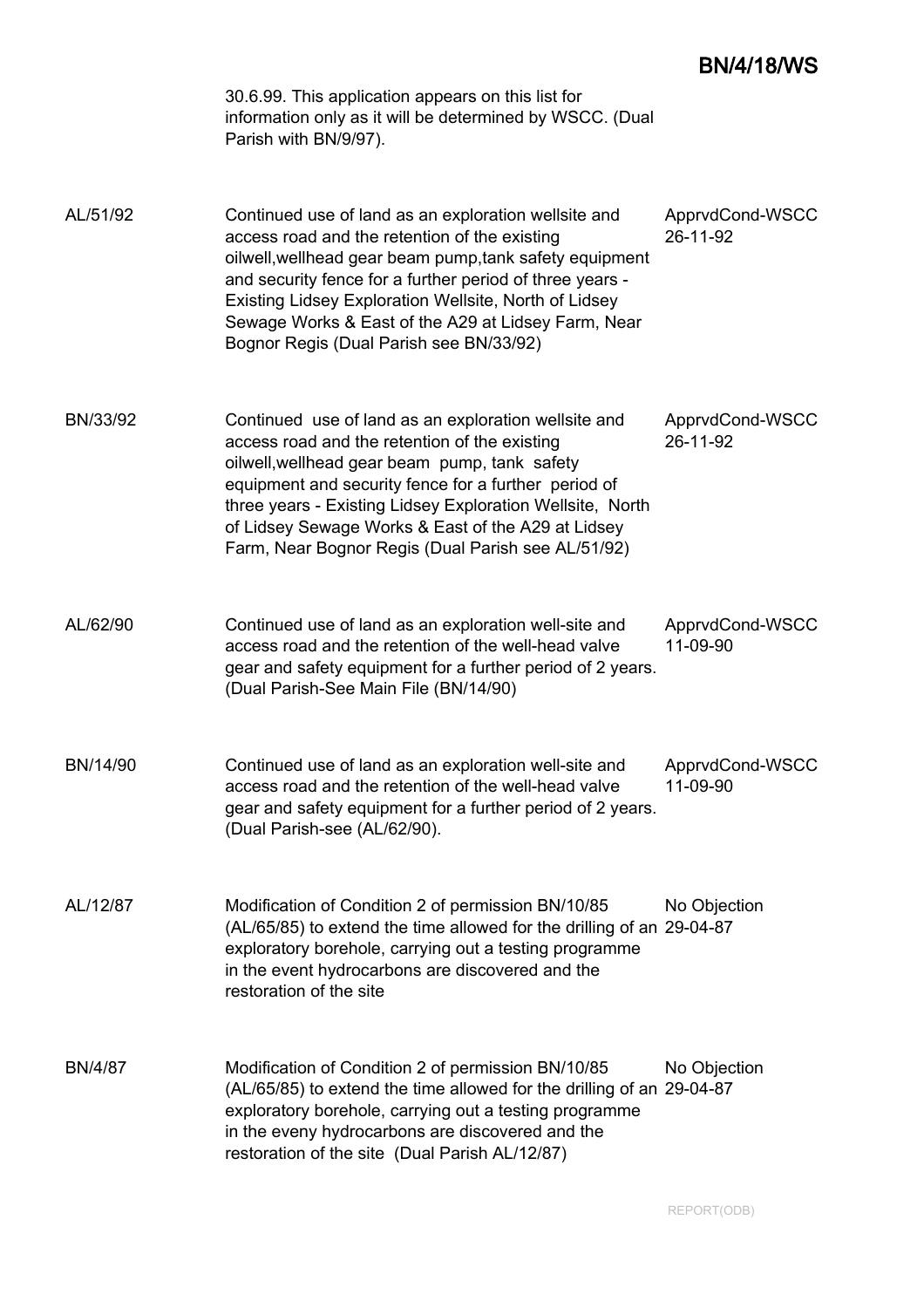# BN/4/18/WS

|                | 30.6.99. This application appears on this list for<br>information only as it will be determined by WSCC. (Dual<br>Parish with BN/9/97).                                                                                                                                                                                                                                                 |                             |
|----------------|-----------------------------------------------------------------------------------------------------------------------------------------------------------------------------------------------------------------------------------------------------------------------------------------------------------------------------------------------------------------------------------------|-----------------------------|
| AL/51/92       | Continued use of land as an exploration wellsite and<br>access road and the retention of the existing<br>oilwell, wellhead gear beam pump, tank safety equipment<br>and security fence for a further period of three years -<br>Existing Lidsey Exploration Wellsite, North of Lidsey<br>Sewage Works & East of the A29 at Lidsey Farm, Near<br>Bognor Regis (Dual Parish see BN/33/92) | ApprvdCond-WSCC<br>26-11-92 |
| BN/33/92       | Continued use of land as an exploration wellsite and<br>access road and the retention of the existing<br>oilwell, wellhead gear beam pump, tank safety<br>equipment and security fence for a further period of<br>three years - Existing Lidsey Exploration Wellsite, North<br>of Lidsey Sewage Works & East of the A29 at Lidsey<br>Farm, Near Bognor Regis (Dual Parish see AL/51/92) | ApprvdCond-WSCC<br>26-11-92 |
| AL/62/90       | Continued use of land as an exploration well-site and<br>access road and the retention of the well-head valve<br>gear and safety equipment for a further period of 2 years.<br>(Dual Parish-See Main File (BN/14/90)                                                                                                                                                                    | ApprvdCond-WSCC<br>11-09-90 |
| BN/14/90       | Continued use of land as an exploration well-site and<br>access road and the retention of the well-head valve<br>gear and safety equipment for a further period of 2 years.<br>(Dual Parish-see (AL/62/90).                                                                                                                                                                             | ApprvdCond-WSCC<br>11-09-90 |
| AL/12/87       | Modification of Condition 2 of permission BN/10/85<br>(AL/65/85) to extend the time allowed for the drilling of an 29-04-87<br>exploratory borehole, carrying out a testing programme<br>in the event hydrocarbons are discovered and the<br>restoration of the site                                                                                                                    | No Objection                |
| <b>BN/4/87</b> | Modification of Condition 2 of permission BN/10/85<br>(AL/65/85) to extend the time allowed for the drilling of an 29-04-87<br>exploratory borehole, carrying out a testing programme<br>in the eveny hydrocarbons are discovered and the<br>restoration of the site (Dual Parish AL/12/87)                                                                                             | No Objection                |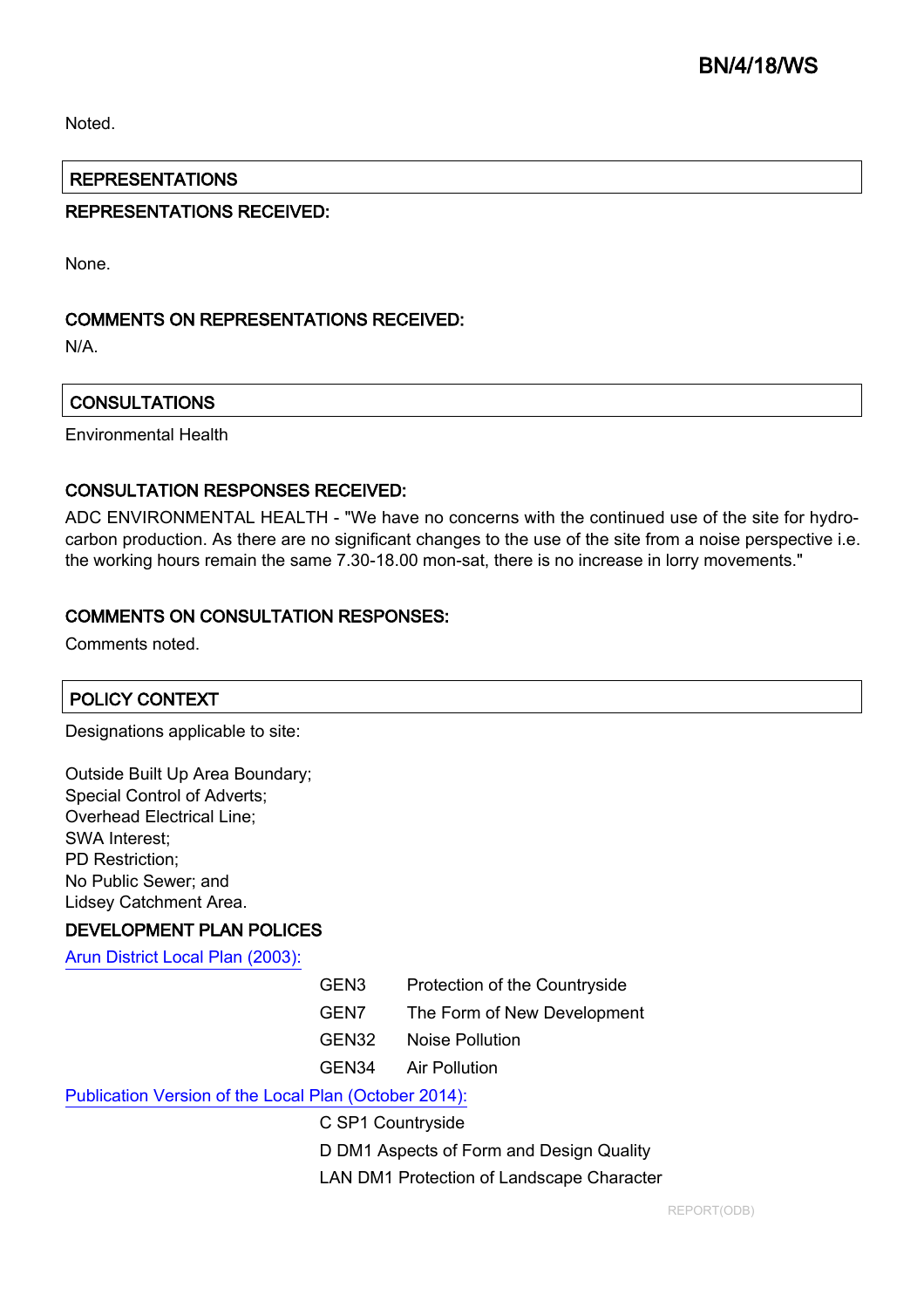Noted.

## REPRESENTATIONS

## REPRESENTATIONS RECEIVED:

None.

## COMMENTS ON REPRESENTATIONS RECEIVED:

N/A.

## **CONSULTATIONS**

Environmental Health

#### CONSULTATION RESPONSES RECEIVED:

ADC ENVIRONMENTAL HEALTH - "We have no concerns with the continued use of the site for hydrocarbon production. As there are no significant changes to the use of the site from a noise perspective i.e. the working hours remain the same 7.30-18.00 mon-sat, there is no increase in lorry movements."

### COMMENTS ON CONSULTATION RESPONSES:

Comments noted.

## POLICY CONTEXT

Designations applicable to site:

| Outside Built Up Area Boundary;  |
|----------------------------------|
| Special Control of Adverts;      |
| <b>Overhead Electrical Line;</b> |
| <b>SWA Interest;</b>             |
| <b>PD Restriction:</b>           |
| No Public Sewer; and             |
| Lidsey Catchment Area.           |

#### DEVELOPMENT PLAN POLICES

[Arun District Local Plan \(2003\):](http://www.arunlocalplan.net)

- GEN3 Protection of the Countryside
- GEN7 The Form of New Development
- GEN32 Noise Pollution
- GEN34 Air Pollution

## [Publication Version of the Local Plan \(October 2014\):](http://www.arun.gov.uk/download.cfm?doc=docm93jijm4n3812.pdf&ver=3482)

C SP1 Countryside

D DM1 Aspects of Form and Design Quality

LAN DM1 Protection of Landscape Character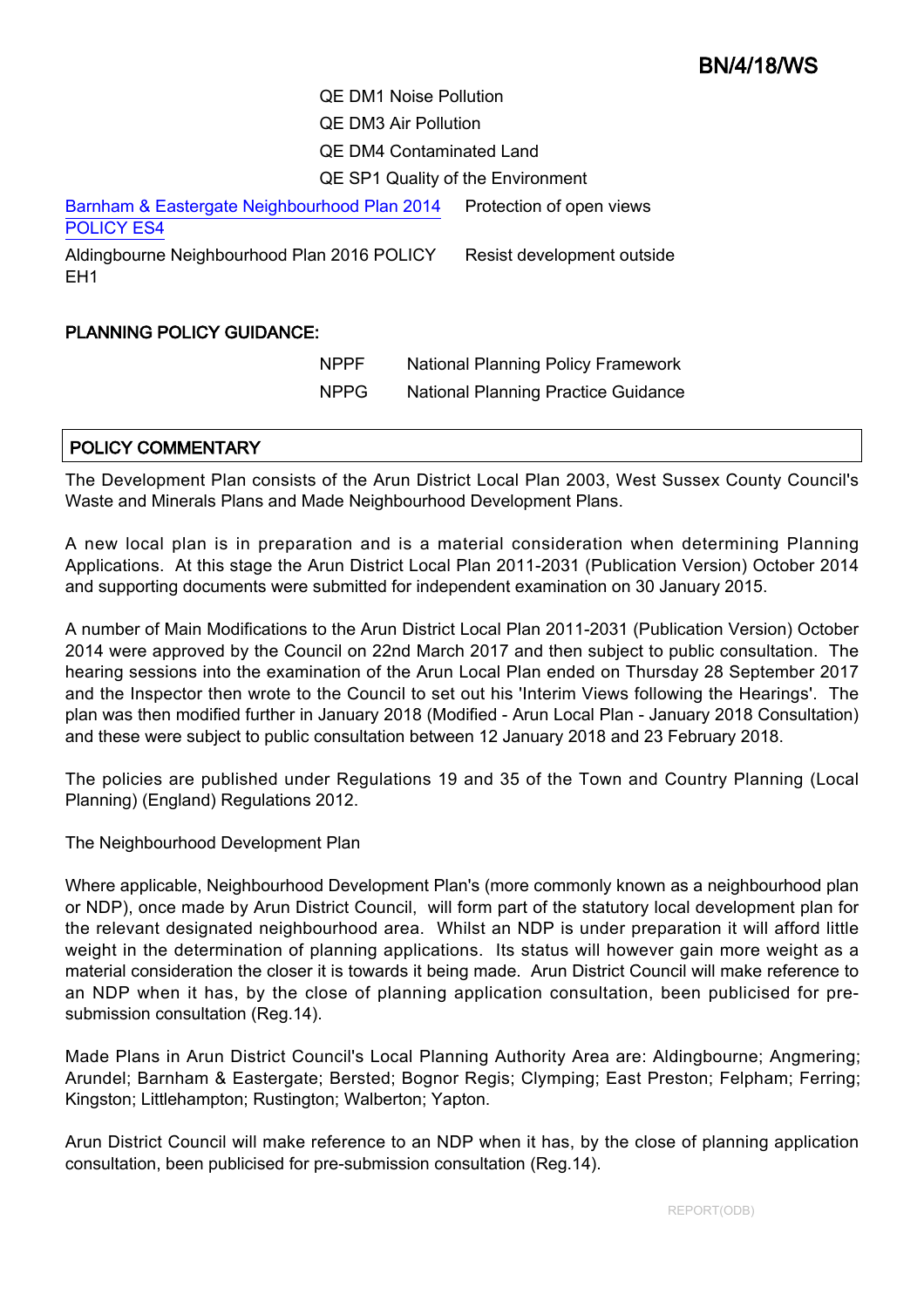# BN/4/18/WS

QE DM1 Noise Pollution QE DM3 Air Pollution QE DM4 Contaminated Land QE SP1 Quality of the Environment

[Barnham & Eastergate Neighbourhood Plan 2014](http://www.arun.gov.uk/neighbourhood-planning) [POLICY ES4](http://www.arun.gov.uk/neighbourhood-planning) Protection of open views

Aldingbourne Neighbourhood Plan 2016 POLICY EH1 Resist development outside

### PLANNING POLICY GUIDANCE:

NPPF National Planning Policy Framework NPPG National Planning Practice Guidance

## POLICY COMMENTARY

The Development Plan consists of the Arun District Local Plan 2003, West Sussex County Council's Waste and Minerals Plans and Made Neighbourhood Development Plans.

A new local plan is in preparation and is a material consideration when determining Planning Applications. At this stage the Arun District Local Plan 2011-2031 (Publication Version) October 2014 and supporting documents were submitted for independent examination on 30 January 2015.

A number of Main Modifications to the Arun District Local Plan 2011-2031 (Publication Version) October 2014 were approved by the Council on 22nd March 2017 and then subject to public consultation. The hearing sessions into the examination of the Arun Local Plan ended on Thursday 28 September 2017 and the Inspector then wrote to the Council to set out his 'Interim Views following the Hearings'. The plan was then modified further in January 2018 (Modified - Arun Local Plan - January 2018 Consultation) and these were subject to public consultation between 12 January 2018 and 23 February 2018.

The policies are published under Regulations 19 and 35 of the Town and Country Planning (Local Planning) (England) Regulations 2012.

The Neighbourhood Development Plan

Where applicable, Neighbourhood Development Plan's (more commonly known as a neighbourhood plan or NDP), once made by Arun District Council, will form part of the statutory local development plan for the relevant designated neighbourhood area. Whilst an NDP is under preparation it will afford little weight in the determination of planning applications. Its status will however gain more weight as a material consideration the closer it is towards it being made. Arun District Council will make reference to an NDP when it has, by the close of planning application consultation, been publicised for presubmission consultation (Reg.14).

Made Plans in Arun District Council's Local Planning Authority Area are: Aldingbourne; Angmering; Arundel; Barnham & Eastergate; Bersted; Bognor Regis; Clymping; East Preston; Felpham; Ferring; Kingston; Littlehampton; Rustington; Walberton; Yapton.

Arun District Council will make reference to an NDP when it has, by the close of planning application consultation, been publicised for pre-submission consultation (Reg.14).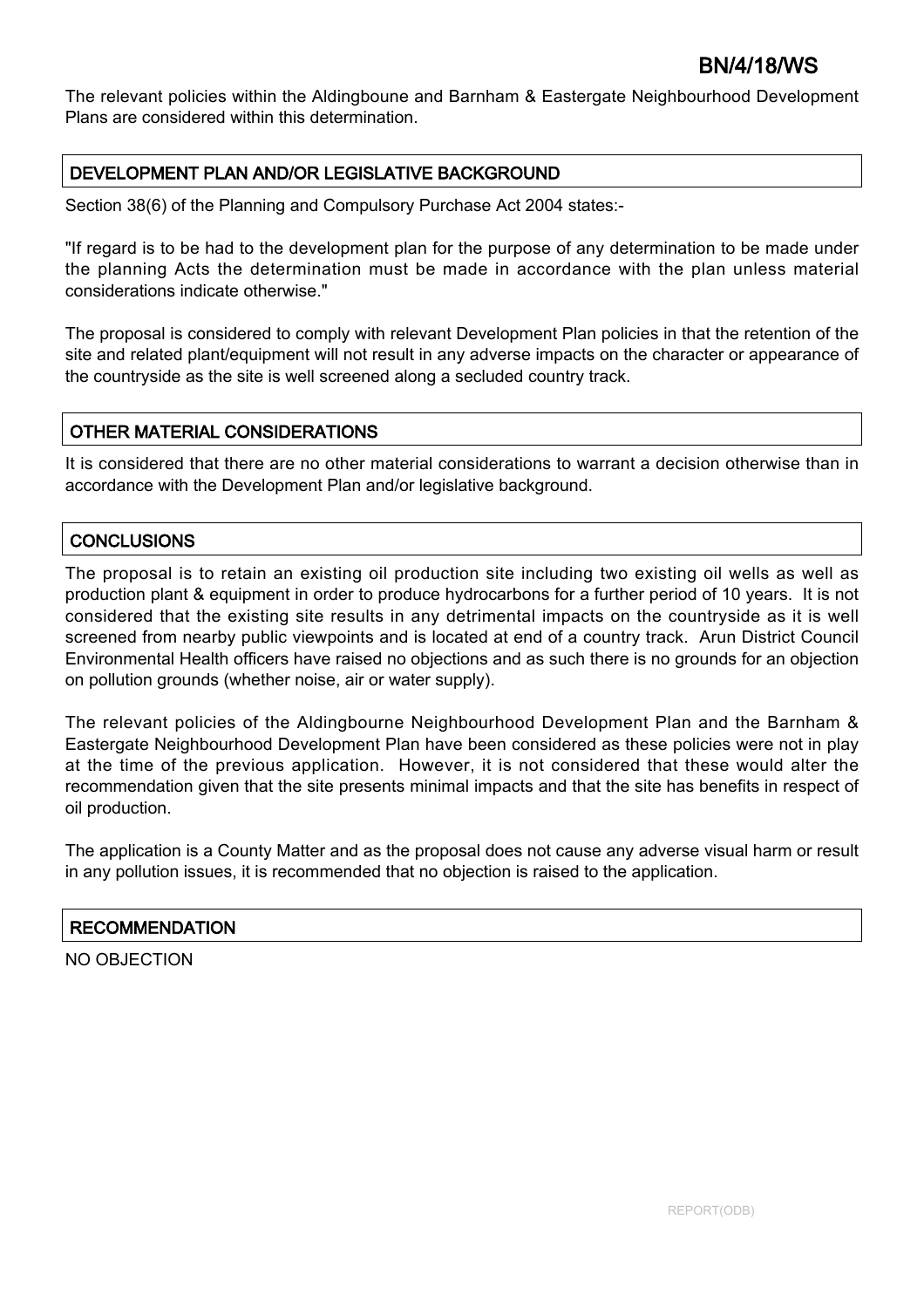The relevant policies within the Aldingboune and Barnham & Eastergate Neighbourhood Development Plans are considered within this determination.

## DEVELOPMENT PLAN AND/OR LEGISLATIVE BACKGROUND

Section 38(6) of the Planning and Compulsory Purchase Act 2004 states:-

"If regard is to be had to the development plan for the purpose of any determination to be made under the planning Acts the determination must be made in accordance with the plan unless material considerations indicate otherwise."

The proposal is considered to comply with relevant Development Plan policies in that the retention of the site and related plant/equipment will not result in any adverse impacts on the character or appearance of the countryside as the site is well screened along a secluded country track.

## OTHER MATERIAL CONSIDERATIONS

It is considered that there are no other material considerations to warrant a decision otherwise than in accordance with the Development Plan and/or legislative background.

## **CONCLUSIONS**

The proposal is to retain an existing oil production site including two existing oil wells as well as production plant & equipment in order to produce hydrocarbons for a further period of 10 years. It is not considered that the existing site results in any detrimental impacts on the countryside as it is well screened from nearby public viewpoints and is located at end of a country track. Arun District Council Environmental Health officers have raised no objections and as such there is no grounds for an objection on pollution grounds (whether noise, air or water supply).

The relevant policies of the Aldingbourne Neighbourhood Development Plan and the Barnham & Eastergate Neighbourhood Development Plan have been considered as these policies were not in play at the time of the previous application. However, it is not considered that these would alter the recommendation given that the site presents minimal impacts and that the site has benefits in respect of oil production.

The application is a County Matter and as the proposal does not cause any adverse visual harm or result in any pollution issues, it is recommended that no objection is raised to the application.

## **RECOMMENDATION**

NO OBJECTION